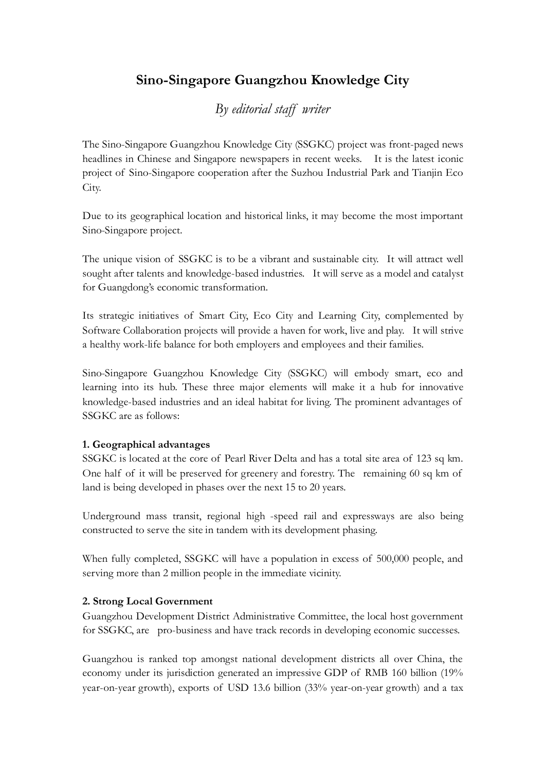# Sino-Singapore Guangzhou Knowledge City

## By editorial staff writer

The Sino-Singapore Guangzhou Knowledge City (SSGKC) project was front-paged news headlines in Chinese and Singapore newspapers in recent weeks. It is the latest iconic project of Sino-Singapore cooperation after the Suzhou Industrial Park and Tianjin Eco City.

Due to its geographical location and historical links, it may become the most important Sino-Singapore project.

The unique vision of SSGKC is to be a vibrant and sustainable city. It will attract well sought after talents and knowledge-based industries. It will serve as a model and catalyst for Guangdong's economic transformation.

Its strategic initiatives of Smart City, Eco City and Learning City, complemented by Software Collaboration projects will provide a haven for work, live and play. It will strive a healthy work-life balance for both employers and employees and their families.

Sino-Singapore Guangzhou Knowledge City (SSGKC) will embody smart, eco and learning into its hub. These three major elements will make it a hub for innovative knowledge-based industries and an ideal habitat for living. The prominent advantages of SSGKC are as follows:

## 1. Geographical advantages

SSGKC is located at the core of Pearl River Delta and has a total site area of 123 sq km. One half of it will be preserved for greenery and forestry. The remaining 60 sq km of land is being developed in phases over the next 15 to 20 years.

Underground mass transit, regional high -speed rail and expressways are also being constructed to serve the site in tandem with its development phasing.

When fully completed, SSGKC will have a population in excess of 500,000 people, and serving more than 2 million people in the immediate vicinity.

## 2. Strong Local Government

Guangzhou Development District Administrative Committee, the local host government for SSGKC, are pro-business and have track records in developing economic successes.

Guangzhou is ranked top amongst national development districts all over China, the economy under its jurisdiction generated an impressive GDP of RMB 160 billion (19% year-on-year growth), exports of USD 13.6 billion (33% year-on-year growth) and a tax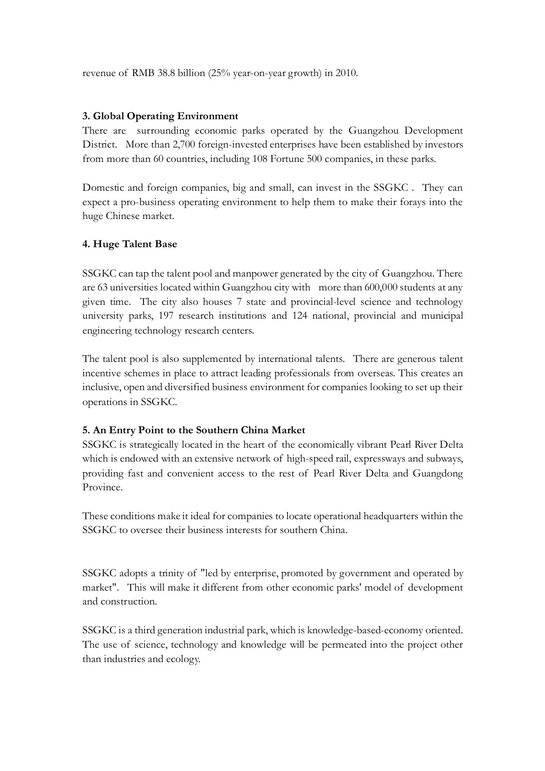revenue of RMB 38.8 billion (25% year-on-year growth) in 2010.

#### 3. Global Operating Environment

There are surrounding economic parks operated by the Guangzhou Development District. More than 2,700 foreign-invested enterprises have been established by investors from more than 60 countries, including 108 Fortune 500 companies, in these parks.

Domestic and foreign companies, big and small, can invest in the SSGKC . They can expect a pro-business operating environment to help them to make their forays into the huge Chinese market.

### 4. Huge Talent Base

SSGKC can tap the talent pool and manpower generated by the city of Guangzhou. There are 63 universities located within Guangzhou city with more than 600,000 students at any given time. The city also houses 7 state and provincial-level science and technology university parks, 197 research institutions and 124 national, provincial and municipal engineering technology research centers.

The talent pool is also supplemented by international talents. There are generous talent incentive schemes in place to attract leading professionals from overseas. This creates an inclusive, open and diversified business environment for companies looking to set up their operations in SSGKC.

#### 5. An Entry Point to the Southern China Market

SSGKC is strategically located in the heart of the economically vibrant Pearl River Delta which is endowed with an extensive network of high-speed rail, expressways and subways, providing fast and convenient access to the rest of Pearl River Delta and Guangdong Province.

These conditions make it ideal for companies to locate operational headquarters within the SSGKC to oversee their business interests for southern China.

SSGKC adopts a trinity of "led by enterprise, promoted by government and operated by market". This will make it different from other economic parks' model of development and construction.

SSGKC is a third generation industrial park, which is knowledge-based-economy oriented. The use of science, technology and knowledge will be permeated into the project other than industries and ecology.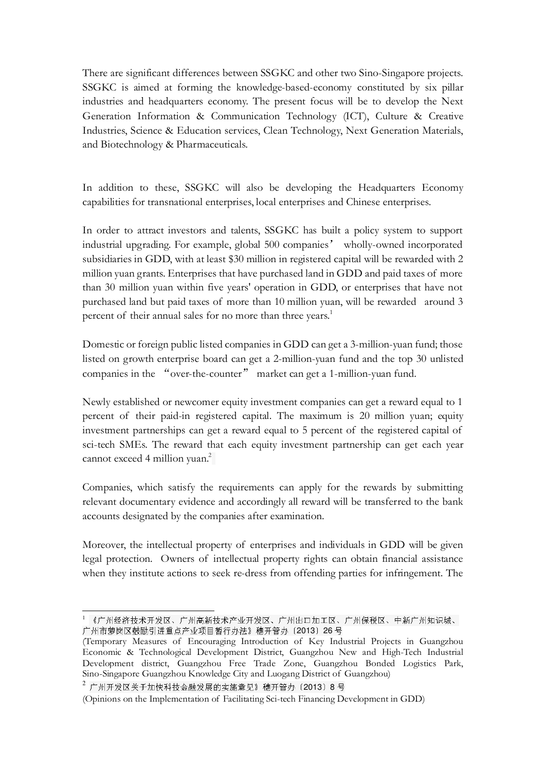There are significant differences between SSGKC and other two Sino-Singapore projects. SSGKC is aimed at forming the knowledge-based-economy constituted by six pillar industries and headquarters economy. The present focus will be to develop the Next Generation Information & Communication Technology (ICT), Culture & Creative Industries, Science & Education services, Clean Technology, Next Generation Materials, and Biotechnology & Pharmaceuticals.

In addition to these, SSGKC will also be developing the Headquarters Economy capabilities for transnational enterprises, local enterprises and Chinese enterprises.

In order to attract investors and talents, SSGKC has built a policy system to support industrial upgrading. For example, global 500 companies' wholly-owned incorporated subsidiaries in GDD, with at least \$30 million in registered capital will be rewarded with 2 million yuan grants. Enterprises that have purchased land in GDD and paid taxes of more than 30 million yuan within five years' operation in GDD, or enterprises that have not purchased land but paid taxes of more than 10 million yuan, will be rewarded around 3 percent of their annual sales for no more than three years.<sup>1</sup>

Domestic or foreign public listed companies in GDD can get a 3-million-yuan fund; those listed on growth enterprise board can get a 2-million-yuan fund and the top 30 unlisted companies in the "over-the-counter" market can get a 1-million-yuan fund.

Newly established or newcomer equity investment companies can get a reward equal to 1 percent of their paid-in registered capital. The maximum is 20 million yuan; equity investment partnerships can get a reward equal to 5 percent of the registered capital of sci-tech SMEs. The reward that each equity investment partnership can get each year cannot exceed 4 million yuan.<sup>2</sup>

Companies, which satisfy the requirements can apply for the rewards by submitting relevant documentary evidence and accordingly all reward will be transferred to the bank accounts designated by the companies after examination.

Moreover, the intellectual property of enterprises and individuals in GDD will be given legal protection. Owners of intellectual property rights can obtain financial assistance when they institute actions to seek re-dress from offending parties for infringement. The

 $2$ 广州开发区关于加快科技金融发展的实施意见》穗开管办〔2013〕8号

<sup>1</sup> 《广州经济技术开发区、广州高新技术产业开发区、广州出口加工区、广州保税区、中新广州知识城、 广州市萝岗区鼓励引进重点产业项目暂行办法》穗开管办〔2013〕26 号

<sup>(</sup>Temporary Measures of Encouraging Introduction of Key Industrial Projects in Guangzhou Economic & Technological Development District, Guangzhou New and High-Tech Industrial Development district, Guangzhou Free Trade Zone, Guangzhou Bonded Logistics Park, Sino-Singapore Guangzhou Knowledge City and Luogang District of Guangzhou)

<sup>(</sup>Opinions on the Implementation of Facilitating Sci-tech Financing Development in GDD)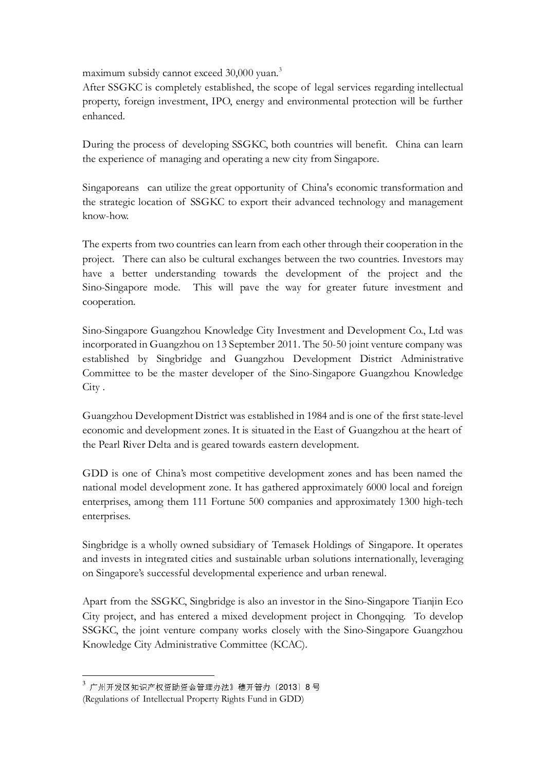maximum subsidy cannot exceed 30,000 yuan.<sup>3</sup>

After SSGKC is completely established, the scope of legal services regarding intellectual property, foreign investment, IPO, energy and environmental protection will be further enhanced.

During the process of developing SSGKC, both countries will benefit. China can learn the experience of managing and operating a new city from Singapore.

Singaporeans can utilize the great opportunity of China's economic transformation and the strategic location of SSGKC to export their advanced technology and management know-how.

The experts from two countries can learn from each other through their cooperation in the project. There can also be cultural exchanges between the two countries. Investors may have a better understanding towards the development of the project and the Sino-Singapore mode. This will pave the way for greater future investment and cooperation.

Sino-Singapore Guangzhou Knowledge City Investment and Development Co., Ltd was incorporated in Guangzhou on 13 September 2011. The 50-50 joint venture company was established by Singbridge and Guangzhou Development District Administrative Committee to be the master developer of the Sino-Singapore Guangzhou Knowledge City .

Guangzhou Development District was established in 1984 and is one of the first state-level economic and development zones. It is situated in the East of Guangzhou at the heart of the Pearl River Delta and is geared towards eastern development.

GDD is one of China's most competitive development zones and has been named the national model development zone. It has gathered approximately 6000 local and foreign enterprises, among them 111 Fortune 500 companies and approximately 1300 high-tech enterprises.

Singbridge is a wholly owned subsidiary of Temasek Holdings of Singapore. It operates and invests in integrated cities and sustainable urban solutions internationally, leveraging on Singapore's successful developmental experience and urban renewal.

Apart from the SSGKC, Singbridge is also an investor in the Sino-Singapore Tianjin Eco City project, and has entered a mixed development project in Chongqing. To develop SSGKC, the joint venture company works closely with the Sino-Singapore Guangzhou Knowledge City Administrative Committee (KCAC).

<sup>3</sup> 广州开发区知识产权资助资金管理办法》穗开管办〔2013〕8 号

<sup>(</sup>Regulations of Intellectual Property Rights Fund in GDD)